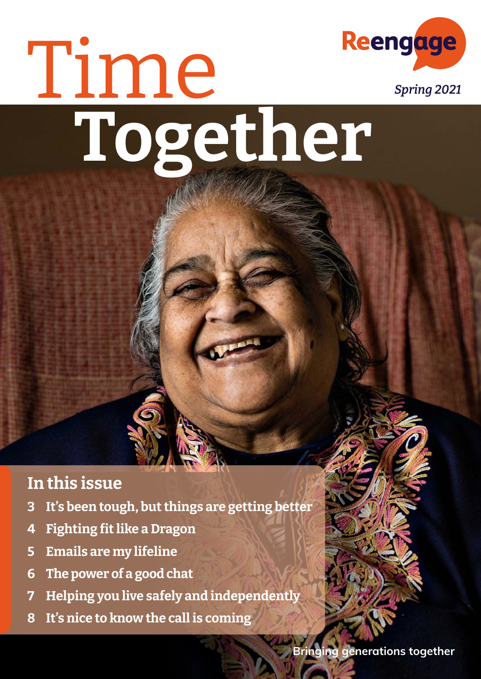## Reengage Time **Together**

### **In this issue**

- **[3 I](#page-1-0)t's been tough, butthings are getting better**
- **4 Fighting fitlike a Dragon**
- **5 [E](#page-5-0)mails are my lifeline**
- **[6 T](#page-6-0)he power of a good chat**
- **[7 H](#page-7-0)elping you live safely and independently**
- **8 It's nice to know the call is coming**



*Spring 2021*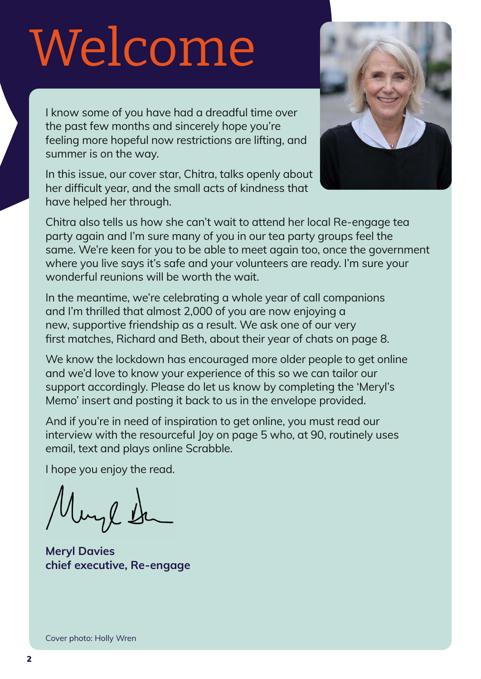# <span id="page-1-0"></span>Welcome

I know some of you have had a dreadful time over the past few months and sincerely hope you're feeling more hopeful now restrictions are lifting, and summer is on the way.

In this issue, our cover star, Chitra, talks openly about her difficult year, and the small acts of kindness that have helped her through.



Chitra also tells us how she can't wait to attend her local Re-engage tea party again and I'm sure many of you in our tea party groups feel the same. We're keen for you to be able to meet again too, once the government where you live says it's safe and your volunteers are ready. I'm sure your wonderful reunions will be worth the wait.

In the meantime, we're celebrating a whole year of call companions and I'm thrilled that almost 2,000 of you are now enjoying a new, supportive friendship as a result. We ask one of our very first matches, Richard and Beth, about their year of chats on page 8.

We know the lockdown has encouraged more older people to get online and we'd love to know your experience of this so we can tailor our support accordingly. Please do let us know by completing the 'Meryl's Memo' insert and posting it back to us in the envelope provided.

And if you're in need of inspiration to get online, you must read our interview with the resourceful Joy on page 5 who, at 90, routinely uses email, text and plays online Scrabble.

I hope you enjoy the read.

uyl 1

**Meryl Davies chief executive, Re-engage**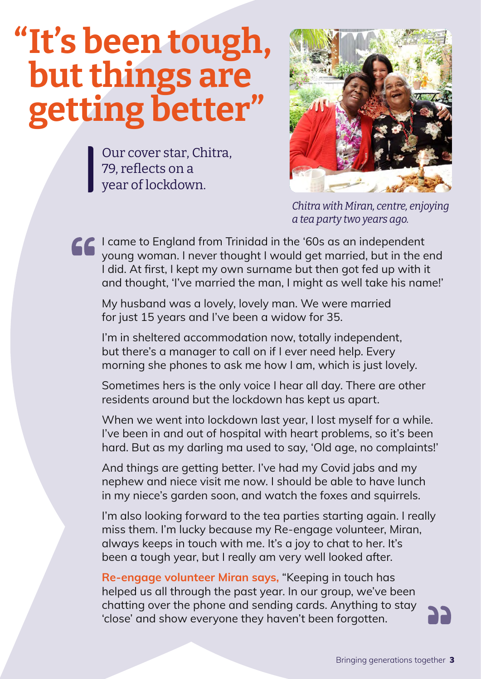### **"It's been tough, but things are getting better"**

Our cover star, Chitra, 79, reflects on a year of lockdown.



*Chitra with Miran, centre, enjoying a tea party two years ago.*

I came to England from Trinidad in the '60s as an independent young woman. I never thought I would get married, but in the end I did. At first, I kept my own surname but then got fed up with it and thought, 'I've married the man, I might as well take his name!'

My husband was a lovely, lovely man. We were married for just 15 years and I've been a widow for 35.

I'm in sheltered accommodation now, totally independent, but there's a manager to call on if I ever need help. Every morning she phones to ask me how I am, which is just lovely.

Sometimes hers is the only voice I hear all day. There are other residents around but the lockdown has kept us apart.

When we went into lockdown last year, I lost myself for a while. I've been in and out of hospital with heart problems, so it's been hard. But as my darling ma used to say, 'Old age, no complaints!'

And things are getting better. I've had my Covid jabs and my nephew and niece visit me now. I should be able to have lunch in my niece's garden soon, and watch the foxes and squirrels.

I'm also looking forward to the tea parties starting again. I really miss them. I'm lucky because my Re-engage volunteer, Miran, always keeps in touch with me. It's a joy to chat to her. It's been a tough year, but I really am very well looked after.

**Re-engage volunteer Miran says,** "Keeping in touch has helped us all through the past year. In our group, we've been chatting over the phone and sending cards. Anything to stay 'close' and show everyone they haven't been forgotten.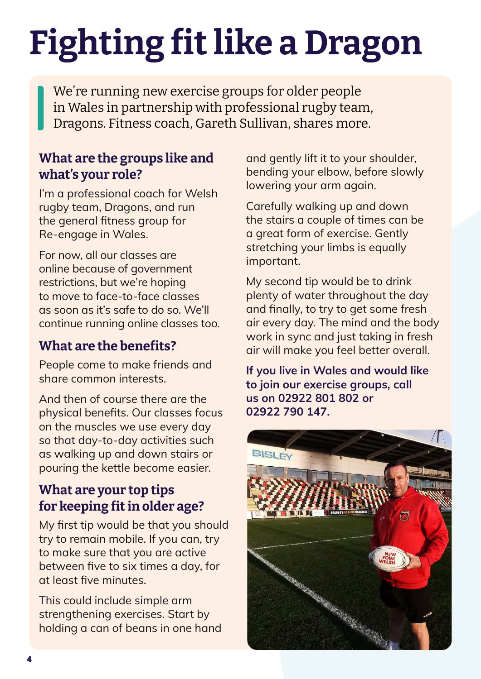## **Fighting fitlike a Dragon**

We're running new exercise groups for older people in Wales in partnership with professional rugby team, Dragons. Fitness coach, Gareth Sullivan, shares more.

#### **What are the groups like and what's your role?**

I'm a professional coach for Welsh rugby team, Dragons, and run the general fitness group for Re-engage in Wales.

For now, all our classes are online because of government restrictions, but we're hoping to move to face-to-face classes as soon as it's safe to do so. We'll continue running online classes too.

#### **What are the benefits?**

People come to make friends and share common interests.

And then of course there are the physical benefits. Our classes focus on the muscles we use every day so that day-to-day activities such as walking up and down stairs or pouring the kettle become easier.

### **What are your top tips for keeping fit in older age?**

My first tip would be that you should try to remain mobile. If you can, try to make sure that you are active between five to six times a day, for at least five minutes.

This could include simple arm strengthening exercises. Start by holding a can of beans in one hand

and gently lift it to your shoulder, bending your elbow, before slowly lowering your arm again.

Carefully walking up and down the stairs a couple of times can be a great form of exercise. Gently stretching your limbs is equally important.

My second tip would be to drink plenty of water throughout the day and finally, to try to get some fresh air every day. The mind and the body work in sync and just taking in fresh air will make you feel better overall.

**If you live in Wales and would like to join our exercise groups, call us on 02922 801 802 or 02922 790 147.**

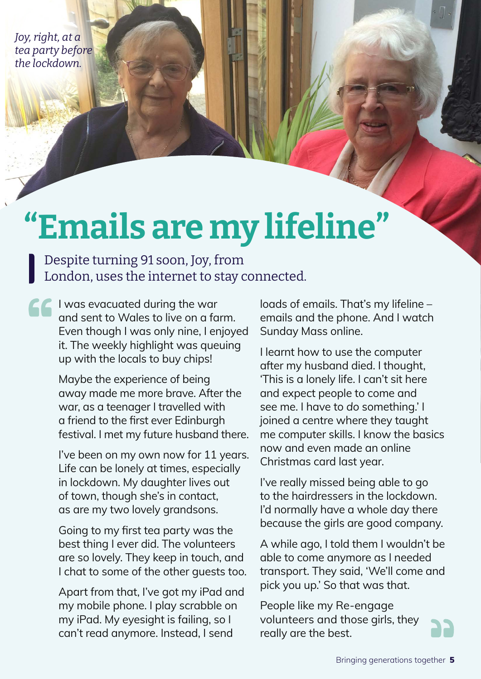*Joy, right, at a tea party before the lockdown.*

### **"Emails are my lifeline"**

Despite turning 91 soon, Joy, from London, uses the internet to stay connected.

I was evacuated during the war and sent to Wales to live on a farm. Even though I was only nine, I enjoyed it. The weekly highlight was queuing up with the locals to buy chips!

> Maybe the experience of being away made me more brave. After the war, as a teenager I travelled with a friend to the first ever Edinburgh festival. I met my future husband there.

> I've been on my own now for 11 years. Life can be lonely at times, especially in lockdown. My daughter lives out of town, though she's in contact, as are my two lovely grandsons.

Going to my first tea party was the best thing I ever did. The volunteers are so lovely. They keep in touch, and I chat to some of the other guests too.

Apart from that, I've got my iPad and my mobile phone. I play scrabble on my iPad. My eyesight is failing, so I can't read anymore. Instead, I send

loads of emails. That's my lifeline – emails and the phone. And I watch Sunday Mass online.

I learnt how to use the computer after my husband died. I thought, 'This is a lonely life. I can't sit here and expect people to come and see me. I have to *do* something.' I joined a centre where they taught me computer skills. I know the basics now and even made an online Christmas card last year.

I've really missed being able to go to the hairdressers in the lockdown. I'd normally have a whole day there because the girls are good company.

A while ago, I told them I wouldn't be able to come anymore as I needed transport. They said, 'We'll come and pick you up.' So that was that.

People like my Re-engage volunteers and those girls, they really are the best.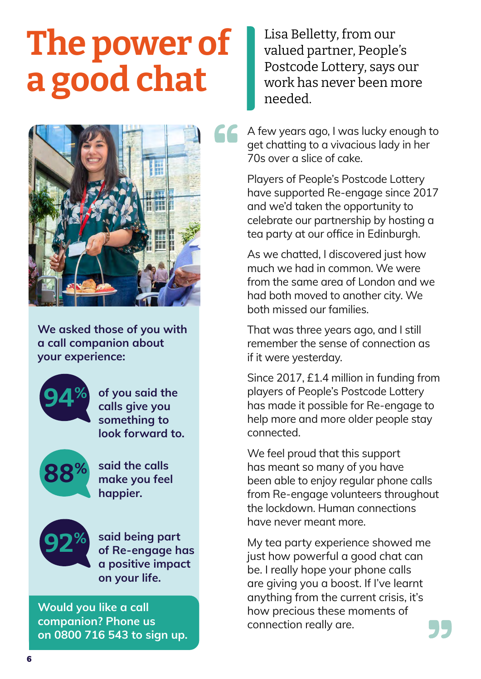### <span id="page-5-0"></span>**The power of a good chat**



**We asked those of you with a call companion about your experience:**



**of you said the calls give you something to look forward to.**



**said the calls make you feel happier.**



**said being part of Re-engage has a positive impact on your life.**

**Would you like a call companion? Phone us on 0800 716 543 to sign up.** Lisa Belletty, from our valued partner, People's Postcode Lottery, says our work has never been more needed.

A few years ago, I was lucky enough to get chatting to a vivacious lady in her 70s over a slice of cake.

Players of People's Postcode Lottery have supported Re-engage since 2017 and we'd taken the opportunity to celebrate our partnership by hosting a tea party at our office in Edinburgh.

As we chatted, I discovered just how much we had in common. We were from the same area of London and we had both moved to another city. We both missed our families.

That was three years ago, and I still remember the sense of connection as if it were yesterday.

Since 2017, £1.4 million in funding from players of People's Postcode Lottery has made it possible for Re-engage to help more and more older people stay connected.

We feel proud that this support has meant so many of you have been able to enjoy regular phone calls from Re-engage volunteers throughout the lockdown. Human connections have never meant more.

My tea party experience showed me just how powerful a good chat can be. I really hope your phone calls are giving you a boost. If I've learnt anything from the current crisis, it's how precious these moments of connection really are.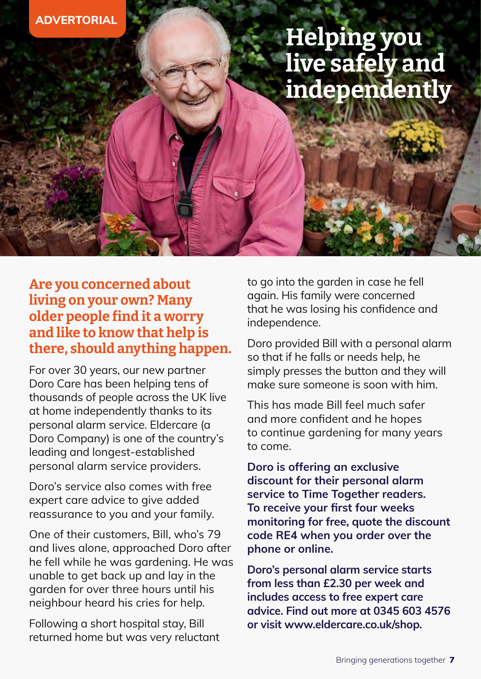### **Helping you live safely and independently**

#### <span id="page-6-0"></span>**Are you concerned about living on your own? Many older people find it a worry and like to know that help is there, should anything happen.**

For over 30 years, our new partner Doro Care has been helping tens of thousands of people across the UK live at home independently thanks to its personal alarm service. Eldercare (a Doro Company) is one of the country's leading and longest-established personal alarm service providers.

Doro's service also comes with free expert care advice to give added reassurance to you and your family.

One of their customers, Bill, who's 79 and lives alone, approached Doro after he fell while he was gardening. He was unable to get back up and lay in the garden for over three hours until his neighbour heard his cries for help.

Following a short hospital stay, Bill returned home but was very reluctant to go into the garden in case he fell again. His family were concerned that he was losing his confidence and independence.

Doro provided Bill with a personal alarm so that if he falls or needs help, he simply presses the button and they will make sure someone is soon with him.

This has made Bill feel much safer and more confident and he hopes to continue gardening for many years to come.

**Doro is offering an exclusive discount for their personal alarm service to Time Together readers. To receive your first four weeks monitoring for free, quote the discount code RE4 when you order over the phone or online.**

**Doro's personal alarm service starts from less than £2.30 per week and includes access to free expert care advice. Find out more at 0345 603 4576 or visit [www.eldercare.co.uk/shop](http://www.eldercare.co.uk/shop).**